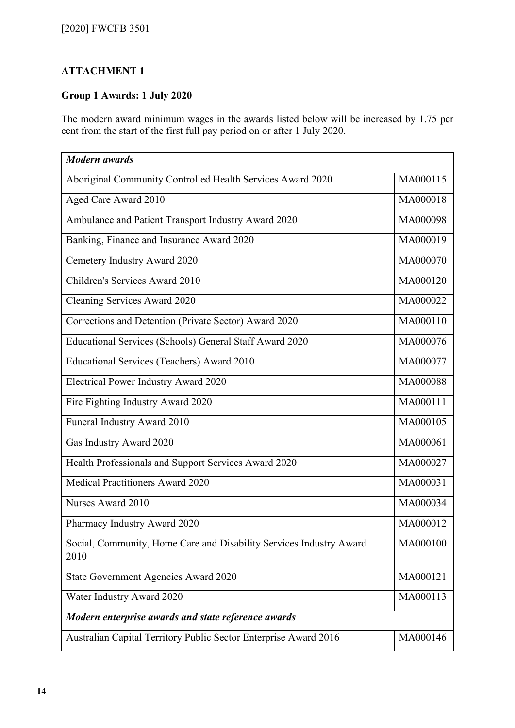## **ATTACHMENT 1**

## **Group 1 Awards: 1 July 2020**

The modern award minimum wages in the awards listed below will be increased by 1.75 per cent from the start of the first full pay period on or after 1 July 2020.

| <b>Modern</b> awards                                                        |          |
|-----------------------------------------------------------------------------|----------|
| Aboriginal Community Controlled Health Services Award 2020                  | MA000115 |
| Aged Care Award 2010                                                        | MA000018 |
| Ambulance and Patient Transport Industry Award 2020                         | MA000098 |
| Banking, Finance and Insurance Award 2020                                   | MA000019 |
| Cemetery Industry Award 2020                                                | MA000070 |
| Children's Services Award 2010                                              | MA000120 |
| Cleaning Services Award 2020                                                | MA000022 |
| Corrections and Detention (Private Sector) Award 2020                       | MA000110 |
| Educational Services (Schools) General Staff Award 2020                     | MA000076 |
| Educational Services (Teachers) Award 2010                                  | MA000077 |
| <b>Electrical Power Industry Award 2020</b>                                 | MA000088 |
| Fire Fighting Industry Award 2020                                           | MA000111 |
| Funeral Industry Award 2010                                                 | MA000105 |
| Gas Industry Award 2020                                                     | MA000061 |
| Health Professionals and Support Services Award 2020                        | MA000027 |
| Medical Practitioners Award 2020                                            | MA000031 |
| Nurses Award 2010                                                           | MA000034 |
| Pharmacy Industry Award 2020                                                | MA000012 |
| Social, Community, Home Care and Disability Services Industry Award<br>2010 | MA000100 |
| State Government Agencies Award 2020                                        | MA000121 |
| Water Industry Award 2020                                                   | MA000113 |
| Modern enterprise awards and state reference awards                         |          |
| Australian Capital Territory Public Sector Enterprise Award 2016            | MA000146 |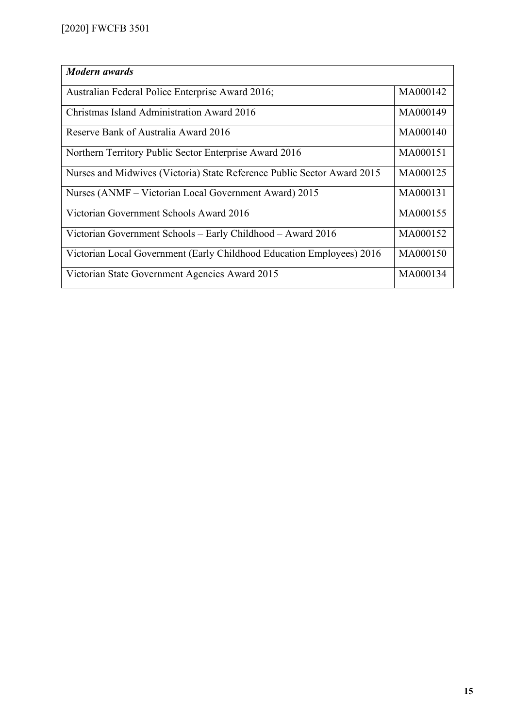| <b>Modern</b> awards                                                    |          |
|-------------------------------------------------------------------------|----------|
|                                                                         |          |
| Australian Federal Police Enterprise Award 2016;                        | MA000142 |
|                                                                         |          |
| Christmas Island Administration Award 2016                              | MA000149 |
|                                                                         |          |
|                                                                         |          |
| Reserve Bank of Australia Award 2016                                    | MA000140 |
|                                                                         |          |
| Northern Territory Public Sector Enterprise Award 2016                  | MA000151 |
|                                                                         |          |
| Nurses and Midwives (Victoria) State Reference Public Sector Award 2015 | MA000125 |
|                                                                         |          |
|                                                                         | MA000131 |
| Nurses (ANMF – Victorian Local Government Award) 2015                   |          |
|                                                                         |          |
| Victorian Government Schools Award 2016                                 | MA000155 |
|                                                                         |          |
| Victorian Government Schools – Early Childhood – Award 2016             | MA000152 |
|                                                                         |          |
| Victorian Local Government (Early Childhood Education Employees) 2016   | MA000150 |
|                                                                         |          |
|                                                                         |          |
| Victorian State Government Agencies Award 2015                          | MA000134 |
|                                                                         |          |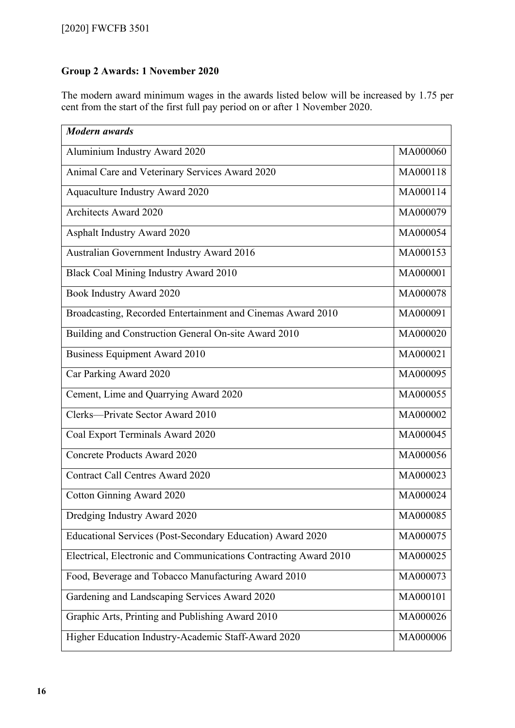## **Group 2 Awards: 1 November 2020**

The modern award minimum wages in the awards listed below will be increased by 1.75 per cent from the start of the first full pay period on or after 1 November 2020.

| <b>Modern</b> awards                                             |          |
|------------------------------------------------------------------|----------|
| Aluminium Industry Award 2020                                    | MA000060 |
| Animal Care and Veterinary Services Award 2020                   | MA000118 |
| <b>Aquaculture Industry Award 2020</b>                           | MA000114 |
| <b>Architects Award 2020</b>                                     | MA000079 |
| <b>Asphalt Industry Award 2020</b>                               | MA000054 |
| Australian Government Industry Award 2016                        | MA000153 |
| <b>Black Coal Mining Industry Award 2010</b>                     | MA000001 |
| Book Industry Award 2020                                         | MA000078 |
| Broadcasting, Recorded Entertainment and Cinemas Award 2010      | MA000091 |
| Building and Construction General On-site Award 2010             | MA000020 |
| <b>Business Equipment Award 2010</b>                             | MA000021 |
| Car Parking Award 2020                                           | MA000095 |
| Cement, Lime and Quarrying Award 2020                            | MA000055 |
| Clerks—Private Sector Award 2010                                 | MA000002 |
| Coal Export Terminals Award 2020                                 | MA000045 |
| <b>Concrete Products Award 2020</b>                              | MA000056 |
| <b>Contract Call Centres Award 2020</b>                          | MA000023 |
| Cotton Ginning Award 2020                                        | MA000024 |
| Dredging Industry Award 2020                                     | MA000085 |
| Educational Services (Post-Secondary Education) Award 2020       | MA000075 |
| Electrical, Electronic and Communications Contracting Award 2010 | MA000025 |
| Food, Beverage and Tobacco Manufacturing Award 2010              | MA000073 |
| Gardening and Landscaping Services Award 2020                    | MA000101 |
| Graphic Arts, Printing and Publishing Award 2010                 | MA000026 |
| Higher Education Industry-Academic Staff-Award 2020              | MA000006 |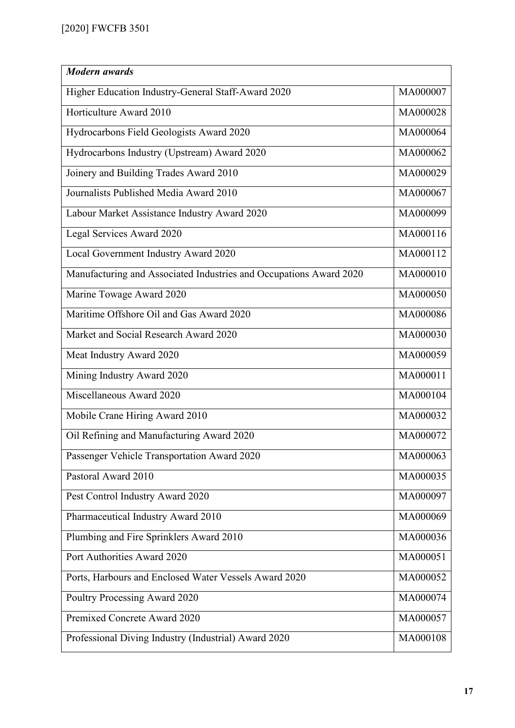| <b>Modern</b> awards                                               |          |
|--------------------------------------------------------------------|----------|
| Higher Education Industry-General Staff-Award 2020                 | MA000007 |
| Horticulture Award 2010                                            | MA000028 |
| Hydrocarbons Field Geologists Award 2020                           | MA000064 |
| Hydrocarbons Industry (Upstream) Award 2020                        | MA000062 |
| Joinery and Building Trades Award 2010                             | MA000029 |
| Journalists Published Media Award 2010                             | MA000067 |
| Labour Market Assistance Industry Award 2020                       | MA000099 |
| Legal Services Award 2020                                          | MA000116 |
| Local Government Industry Award 2020                               | MA000112 |
| Manufacturing and Associated Industries and Occupations Award 2020 | MA000010 |
| Marine Towage Award 2020                                           | MA000050 |
| Maritime Offshore Oil and Gas Award 2020                           | MA000086 |
| Market and Social Research Award 2020                              | MA000030 |
| Meat Industry Award 2020                                           | MA000059 |
| Mining Industry Award 2020                                         | MA000011 |
| Miscellaneous Award 2020                                           | MA000104 |
| Mobile Crane Hiring Award 2010                                     | MA000032 |
| Oil Refining and Manufacturing Award 2020                          | MA000072 |
| Passenger Vehicle Transportation Award 2020                        | MA000063 |
| Pastoral Award 2010                                                | MA000035 |
| Pest Control Industry Award 2020                                   | MA000097 |
| Pharmaceutical Industry Award 2010                                 | MA000069 |
| Plumbing and Fire Sprinklers Award 2010                            | MA000036 |
| Port Authorities Award 2020                                        | MA000051 |
| Ports, Harbours and Enclosed Water Vessels Award 2020              | MA000052 |
| Poultry Processing Award 2020                                      | MA000074 |
| Premixed Concrete Award 2020                                       | MA000057 |
| Professional Diving Industry (Industrial) Award 2020               | MA000108 |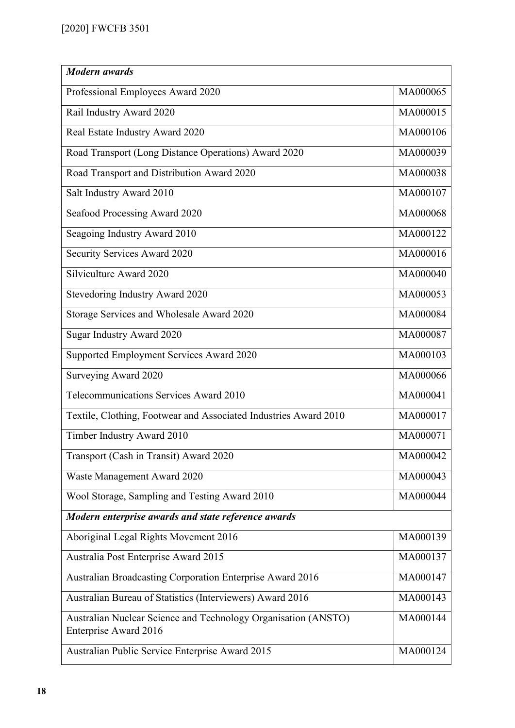| <b>Modern</b> awards                                                                           |          |
|------------------------------------------------------------------------------------------------|----------|
| Professional Employees Award 2020                                                              | MA000065 |
| Rail Industry Award 2020                                                                       | MA000015 |
| Real Estate Industry Award 2020                                                                | MA000106 |
| Road Transport (Long Distance Operations) Award 2020                                           | MA000039 |
| Road Transport and Distribution Award 2020                                                     | MA000038 |
| Salt Industry Award 2010                                                                       | MA000107 |
| Seafood Processing Award 2020                                                                  | MA000068 |
| Seagoing Industry Award 2010                                                                   | MA000122 |
| Security Services Award 2020                                                                   | MA000016 |
| Silviculture Award 2020                                                                        | MA000040 |
| Stevedoring Industry Award 2020                                                                | MA000053 |
| Storage Services and Wholesale Award 2020                                                      | MA000084 |
| Sugar Industry Award 2020                                                                      | MA000087 |
| Supported Employment Services Award 2020                                                       | MA000103 |
| Surveying Award 2020                                                                           | MA000066 |
| Telecommunications Services Award 2010                                                         | MA000041 |
| Textile, Clothing, Footwear and Associated Industries Award 2010                               | MA000017 |
| Timber Industry Award 2010                                                                     | MA000071 |
| Transport (Cash in Transit) Award 2020                                                         | MA000042 |
| Waste Management Award 2020                                                                    | MA000043 |
| Wool Storage, Sampling and Testing Award 2010                                                  | MA000044 |
| Modern enterprise awards and state reference awards                                            |          |
| Aboriginal Legal Rights Movement 2016                                                          | MA000139 |
| Australia Post Enterprise Award 2015                                                           | MA000137 |
| Australian Broadcasting Corporation Enterprise Award 2016                                      | MA000147 |
| Australian Bureau of Statistics (Interviewers) Award 2016                                      | MA000143 |
| Australian Nuclear Science and Technology Organisation (ANSTO)<br><b>Enterprise Award 2016</b> | MA000144 |
| Australian Public Service Enterprise Award 2015                                                | MA000124 |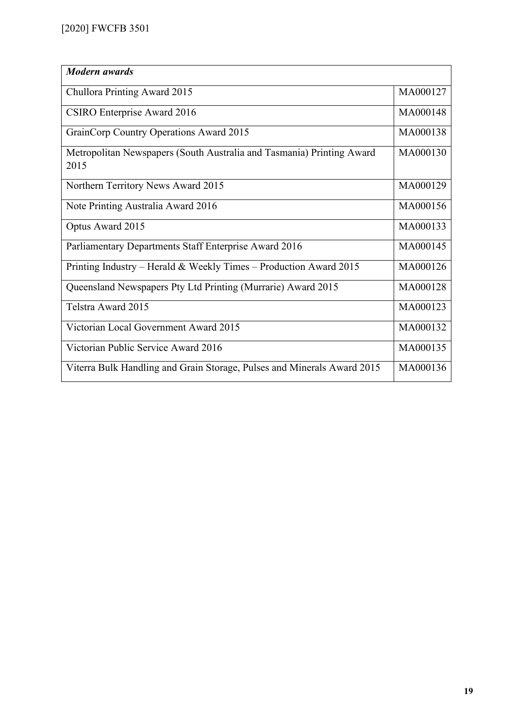| <b>Modern</b> awards                                                          |          |
|-------------------------------------------------------------------------------|----------|
| Chullora Printing Award 2015                                                  | MA000127 |
| CSIRO Enterprise Award 2016                                                   | MA000148 |
| GrainCorp Country Operations Award 2015                                       | MA000138 |
| Metropolitan Newspapers (South Australia and Tasmania) Printing Award<br>2015 | MA000130 |
| Northern Territory News Award 2015                                            | MA000129 |
| Note Printing Australia Award 2016                                            | MA000156 |
| Optus Award 2015                                                              | MA000133 |
| Parliamentary Departments Staff Enterprise Award 2016                         | MA000145 |
| Printing Industry – Herald & Weekly Times – Production Award 2015             | MA000126 |
| Queensland Newspapers Pty Ltd Printing (Murrarie) Award 2015                  | MA000128 |
| Telstra Award 2015                                                            | MA000123 |
| Victorian Local Government Award 2015                                         | MA000132 |
| Victorian Public Service Award 2016                                           | MA000135 |
| Viterra Bulk Handling and Grain Storage, Pulses and Minerals Award 2015       | MA000136 |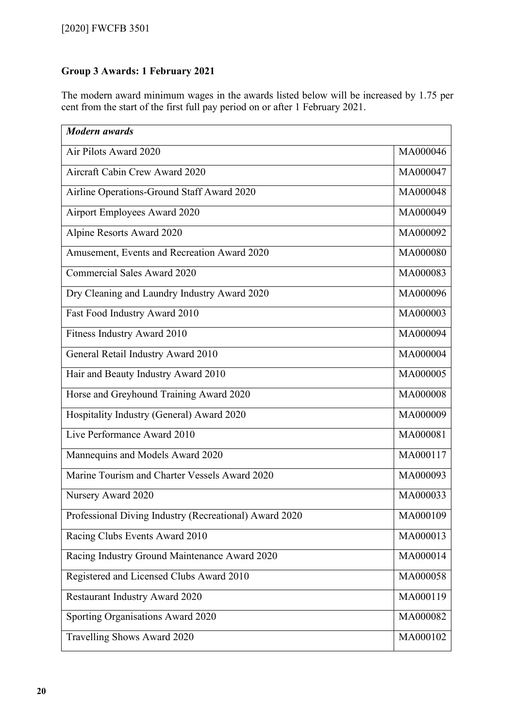## **Group 3 Awards: 1 February 2021**

The modern award minimum wages in the awards listed below will be increased by 1.75 per cent from the start of the first full pay period on or after 1 February 2021.

| <b>Modern</b> awards                                   |          |
|--------------------------------------------------------|----------|
| Air Pilots Award 2020                                  | MA000046 |
| Aircraft Cabin Crew Award 2020                         | MA000047 |
| Airline Operations-Ground Staff Award 2020             | MA000048 |
| Airport Employees Award 2020                           | MA000049 |
| Alpine Resorts Award 2020                              | MA000092 |
| Amusement, Events and Recreation Award 2020            | MA000080 |
| Commercial Sales Award 2020                            | MA000083 |
| Dry Cleaning and Laundry Industry Award 2020           | MA000096 |
| Fast Food Industry Award 2010                          | MA000003 |
| Fitness Industry Award 2010                            | MA000094 |
| General Retail Industry Award 2010                     | MA000004 |
| Hair and Beauty Industry Award 2010                    | MA000005 |
| Horse and Greyhound Training Award 2020                | MA000008 |
| Hospitality Industry (General) Award 2020              | MA000009 |
| Live Performance Award 2010                            | MA000081 |
| Mannequins and Models Award 2020                       | MA000117 |
| Marine Tourism and Charter Vessels Award 2020          | MA000093 |
| Nursery Award 2020                                     | MA000033 |
| Professional Diving Industry (Recreational) Award 2020 | MA000109 |
| Racing Clubs Events Award 2010                         | MA000013 |
| Racing Industry Ground Maintenance Award 2020          | MA000014 |
| Registered and Licensed Clubs Award 2010               | MA000058 |
| Restaurant Industry Award 2020                         | MA000119 |
| Sporting Organisations Award 2020                      | MA000082 |
| Travelling Shows Award 2020                            | MA000102 |